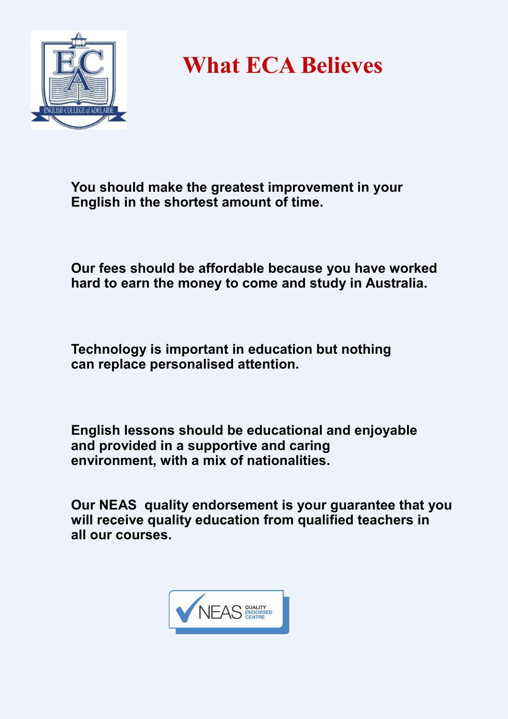

**What ECA Believes**

**You should make the greatest improvement in your English in the shortest amount of time.**

**Our fees should be affordable because you have worked hard to earn the money to come and study in Australia.**

**Technology is important in education but nothing can replace personalised attention.**

**English lessons should be educational and enjoyable and provided in a supportive and caring environment, with a mix of nationalities.**

**Our NEAS quality endorsement is your guarantee that you will receive quality education from qualified teachers in all our courses.**